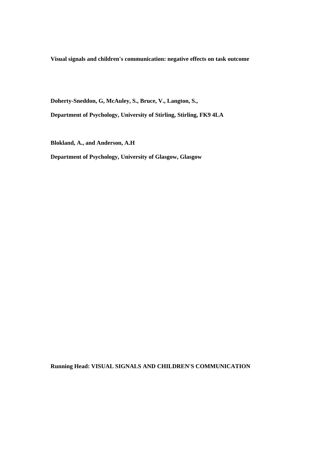**Visual signals and children's communication: negative effects on task outcome** 

**Doherty-Sneddon, G, McAuley, S., Bruce, V., Langton, S.,** 

**Department of Psychology, University of Stirling, Stirling, FK9 4LA** 

**Blokland, A., and Anderson, A.H** 

**Department of Psychology, University of Glasgow, Glasgow** 

**Running Head: VISUAL SIGNALS AND CHILDREN'S COMMUNICATION**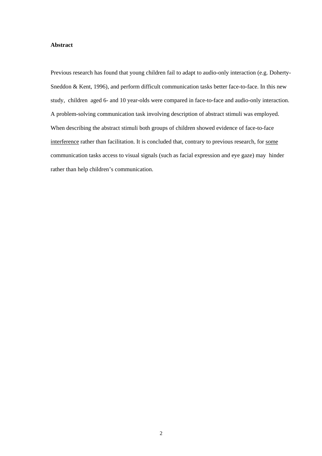#### **Abstract**

Previous research has found that young children fail to adapt to audio-only interaction (e.g. Doherty-Sneddon & Kent, 1996), and perform difficult communication tasks better face-to-face. In this new study, children aged 6- and 10 year-olds were compared in face-to-face and audio-only interaction. A problem-solving communication task involving description of abstract stimuli was employed. When describing the abstract stimuli both groups of children showed evidence of face-to-face interference rather than facilitation. It is concluded that, contrary to previous research, for some communication tasks access to visual signals (such as facial expression and eye gaze) may hinder rather than help children's communication.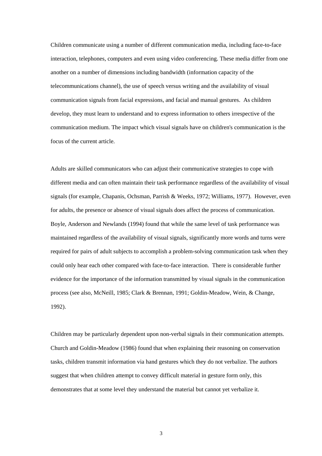Children communicate using a number of different communication media, including face-to-face interaction, telephones, computers and even using video conferencing. These media differ from one another on a number of dimensions including bandwidth (information capacity of the telecommunications channel), the use of speech versus writing and the availability of visual communication signals from facial expressions, and facial and manual gestures. As children develop, they must learn to understand and to express information to others irrespective of the communication medium. The impact which visual signals have on children's communication is the focus of the current article.

Adults are skilled communicators who can adjust their communicative strategies to cope with different media and can often maintain their task performance regardless of the availability of visual signals (for example, Chapanis, Ochsman, Parrish & Weeks, 1972; Williams, 1977). However, even for adults, the presence or absence of visual signals does affect the process of communication. Boyle, Anderson and Newlands (1994) found that while the same level of task performance was maintained regardless of the availability of visual signals, significantly more words and turns were required for pairs of adult subjects to accomplish a problem-solving communication task when they could only hear each other compared with face-to-face interaction. There is considerable further evidence for the importance of the information transmitted by visual signals in the communication process (see also, McNeill, 1985; Clark & Brennan, 1991; Goldin-Meadow, Wein, & Change, 1992).

Children may be particularly dependent upon non-verbal signals in their communication attempts. Church and Goldin-Meadow (1986) found that when explaining their reasoning on conservation tasks, children transmit information via hand gestures which they do not verbalize. The authors suggest that when children attempt to convey difficult material in gesture form only, this demonstrates that at some level they understand the material but cannot yet verbalize it.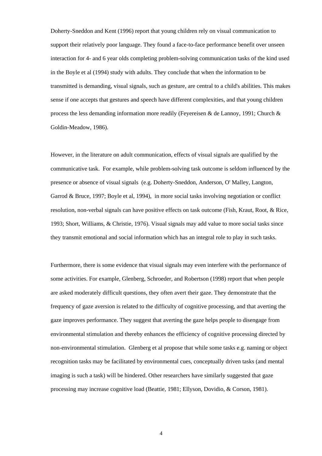Doherty-Sneddon and Kent (1996) report that young children rely on visual communication to support their relatively poor language. They found a face-to-face performance benefit over unseen interaction for 4- and 6 year olds completing problem-solving communication tasks of the kind used in the Boyle et al (1994) study with adults. They conclude that when the information to be transmitted is demanding, visual signals, such as gesture, are central to a child's abilities. This makes sense if one accepts that gestures and speech have different complexities, and that young children process the less demanding information more readily (Feyereisen & de Lannoy, 1991; Church & Goldin-Meadow, 1986).

However, in the literature on adult communication, effects of visual signals are qualified by the communicative task. For example, while problem-solving task outcome is seldom influenced by the presence or absence of visual signals (e.g. Doherty-Sneddon, Anderson, O' Malley, Langton, Garrod & Bruce, 1997; Boyle et al, 1994), in more social tasks involving negotiation or conflict resolution, non-verbal signals can have positive effects on task outcome (Fish, Kraut, Root, & Rice, 1993; Short, Williams, & Christie, 1976). Visual signals may add value to more social tasks since they transmit emotional and social information which has an integral role to play in such tasks.

Furthermore, there is some evidence that visual signals may even interfere with the performance of some activities. For example, Glenberg, Schroeder, and Robertson (1998) report that when people are asked moderately difficult questions, they often avert their gaze. They demonstrate that the frequency of gaze aversion is related to the difficulty of cognitive processing, and that averting the gaze improves performance. They suggest that averting the gaze helps people to disengage from environmental stimulation and thereby enhances the efficiency of cognitive processing directed by non-environmental stimulation. Glenberg et al propose that while some tasks e.g. naming or object recognition tasks may be facilitated by environmental cues, conceptually driven tasks (and mental imaging is such a task) will be hindered. Other researchers have similarly suggested that gaze processing may increase cognitive load (Beattie, 1981; Ellyson, Dovidio, & Corson, 1981).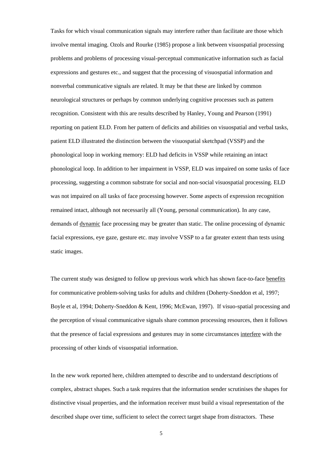Tasks for which visual communication signals may interfere rather than facilitate are those which involve mental imaging. Ozols and Rourke (1985) propose a link between visuospatial processing problems and problems of processing visual-perceptual communicative information such as facial expressions and gestures etc., and suggest that the processing of visuospatial information and nonverbal communicative signals are related. It may be that these are linked by common neurological structures or perhaps by common underlying cognitive processes such as pattern recognition. Consistent with this are results described by Hanley, Young and Pearson (1991) reporting on patient ELD. From her pattern of deficits and abilities on visuospatial and verbal tasks, patient ELD illustrated the distinction between the visuospatial sketchpad (VSSP) and the phonological loop in working memory: ELD had deficits in VSSP while retaining an intact phonological loop. In addition to her impairment in VSSP, ELD was impaired on some tasks of face processing, suggesting a common substrate for social and non-social visuospatial processing. ELD was not impaired on all tasks of face processing however. Some aspects of expression recognition remained intact, although not necessarily all (Young, personal communication). In any case, demands of dynamic face processing may be greater than static. The online processing of dynamic facial expressions, eye gaze, gesture etc. may involve VSSP to a far greater extent than tests using static images.

The current study was designed to follow up previous work which has shown face-to-face benefits for communicative problem-solving tasks for adults and children (Doherty-Sneddon et al, 1997; Boyle et al, 1994; Doherty-Sneddon & Kent, 1996; McEwan, 1997). If visuo-spatial processing and the perception of visual communicative signals share common processing resources, then it follows that the presence of facial expressions and gestures may in some circumstances interfere with the processing of other kinds of visuospatial information.

In the new work reported here, children attempted to describe and to understand descriptions of complex, abstract shapes. Such a task requires that the information sender scrutinises the shapes for distinctive visual properties, and the information receiver must build a visual representation of the described shape over time, sufficient to select the correct target shape from distractors. These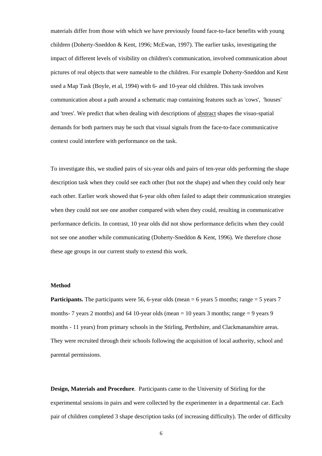materials differ from those with which we have previously found face-to-face benefits with young children (Doherty-Sneddon & Kent, 1996; McEwan, 1997). The earlier tasks, investigating the impact of different levels of visibility on children's communication, involved communication about pictures of real objects that were nameable to the children. For example Doherty-Sneddon and Kent used a Map Task (Boyle, et al, 1994) with 6- and 10-year old children. This task involves communication about a path around a schematic map containing features such as 'cows', 'houses' and 'trees'. We predict that when dealing with descriptions of abstract shapes the visuo-spatial demands for both partners may be such that visual signals from the face-to-face communicative context could interfere with performance on the task.

To investigate this, we studied pairs of six-year olds and pairs of ten-year olds performing the shape description task when they could see each other (but not the shape) and when they could only hear each other. Earlier work showed that 6-year olds often failed to adapt their communication strategies when they could not see one another compared with when they could, resulting in communicative performance deficits. In contrast, 10 year olds did not show performance deficits when they could not see one another while communicating (Doherty-Sneddon & Kent, 1996). We therefore chose these age groups in our current study to extend this work.

#### **Method**

**Participants.** The participants were 56, 6-year olds (mean  $= 6$  years 5 months; range  $= 5$  years 7 months- 7 years 2 months) and 64 10-year olds (mean  $= 10$  years 3 months; range  $= 9$  years 9 months - 11 years) from primary schools in the Stirling, Perthshire, and Clackmananshire areas. They were recruited through their schools following the acquisition of local authority, school and parental permissions.

**Design, Materials and Procedure**. Participants came to the University of Stirling for the experimental sessions in pairs and were collected by the experimenter in a departmental car. Each pair of children completed 3 shape description tasks (of increasing difficulty). The order of difficulty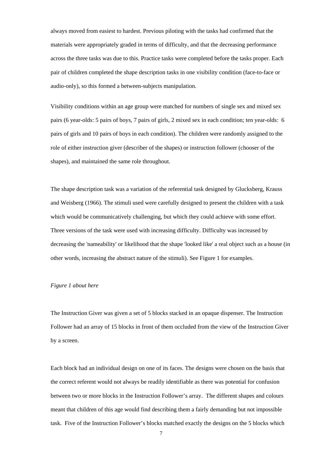always moved from easiest to hardest. Previous piloting with the tasks had confirmed that the materials were appropriately graded in terms of difficulty, and that the decreasing performance across the three tasks was due to this. Practice tasks were completed before the tasks proper. Each pair of children completed the shape description tasks in one visibility condition (face-to-face or audio-only), so this formed a between-subjects manipulation.

Visibility conditions within an age group were matched for numbers of single sex and mixed sex pairs (6 year-olds: 5 pairs of boys, 7 pairs of girls, 2 mixed sex in each condition; ten year-olds: 6 pairs of girls and 10 pairs of boys in each condition). The children were randomly assigned to the role of either instruction giver (describer of the shapes) or instruction follower (chooser of the shapes), and maintained the same role throughout.

The shape description task was a variation of the referential task designed by Glucksberg, Krauss and Weisberg (1966). The stimuli used were carefully designed to present the children with a task which would be communicatively challenging, but which they could achieve with some effort. Three versions of the task were used with increasing difficulty. Difficulty was increased by decreasing the 'nameability' or likelihood that the shape 'looked like' a real object such as a house (in other words, increasing the abstract nature of the stimuli). See Figure 1 for examples.

#### *Figure 1 about here*

The Instruction Giver was given a set of 5 blocks stacked in an opaque dispenser. The Instruction Follower had an array of 15 blocks in front of them occluded from the view of the Instruction Giver by a screen.

Each block had an individual design on one of its faces. The designs were chosen on the basis that the correct referent would not always be readily identifiable as there was potential for confusion between two or more blocks in the Instruction Follower's array. The different shapes and colours meant that children of this age would find describing them a fairly demanding but not impossible task. Five of the Instruction Follower's blocks matched exactly the designs on the 5 blocks which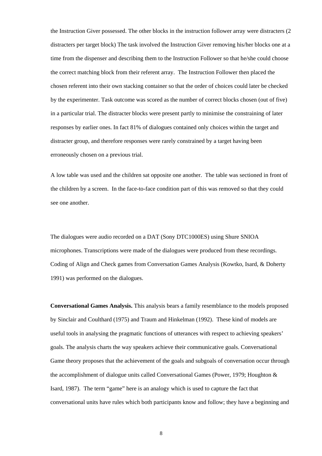the Instruction Giver possessed. The other blocks in the instruction follower array were distracters (2 distracters per target block) The task involved the Instruction Giver removing his/her blocks one at a time from the dispenser and describing them to the Instruction Follower so that he/she could choose the correct matching block from their referent array. The Instruction Follower then placed the chosen referent into their own stacking container so that the order of choices could later be checked by the experimenter. Task outcome was scored as the number of correct blocks chosen (out of five) in a particular trial. The distracter blocks were present partly to minimise the constraining of later responses by earlier ones. In fact 81% of dialogues contained only choices within the target and distracter group, and therefore responses were rarely constrained by a target having been erroneously chosen on a previous trial.

A low table was used and the children sat opposite one another. The table was sectioned in front of the children by a screen. In the face-to-face condition part of this was removed so that they could see one another.

The dialogues were audio recorded on a DAT (Sony DTC1000ES) using Shure SNIOA microphones. Transcriptions were made of the dialogues were produced from these recordings. Coding of Align and Check games from Conversation Games Analysis (Kowtko, Isard, & Doherty 1991) was performed on the dialogues.

**Conversational Games Analysis.** This analysis bears a family resemblance to the models proposed by Sinclair and Coulthard (1975) and Traum and Hinkelman (1992). These kind of models are useful tools in analysing the pragmatic functions of utterances with respect to achieving speakers' goals. The analysis charts the way speakers achieve their communicative goals. Conversational Game theory proposes that the achievement of the goals and subgoals of conversation occur through the accomplishment of dialogue units called Conversational Games (Power, 1979; Houghton & Isard, 1987). The term "game" here is an analogy which is used to capture the fact that conversational units have rules which both participants know and follow; they have a beginning and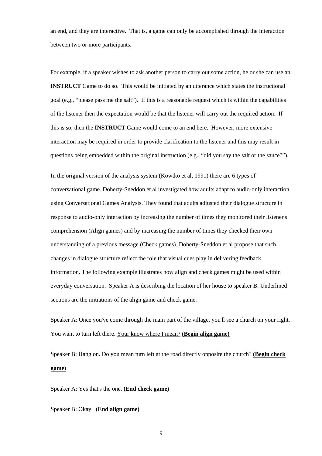an end, and they are interactive. That is, a game can only be accomplished through the interaction between two or more participants.

For example, if a speaker wishes to ask another person to carry out some action, he or she can use an **INSTRUCT** Game to do so. This would be initiated by an utterance which states the instructional goal (e.g., "please pass me the salt"). If this is a reasonable request which is within the capabilities of the listener then the expectation would be that the listener will carry out the required action. If this is so, then the **INSTRUCT** Game would come to an end here. However, more extensive interaction may be required in order to provide clarification to the listener and this may result in questions being embedded within the original instruction (e.g., "did you say the salt or the sauce?").

In the original version of the analysis system (Kowtko et al, 1991) there are 6 types of conversational game. Doherty-Sneddon et al investigated how adults adapt to audio-only interaction using Conversational Games Analysis. They found that adults adjusted their dialogue structure in response to audio-only interaction by increasing the number of times they monitored their listener's comprehension (Align games) and by increasing the number of times they checked their own understanding of a previous message (Check games). Doherty-Sneddon et al propose that such changes in dialogue structure reflect the role that visual cues play in delivering feedback information. The following example illustrates how align and check games might be used within everyday conversation. Speaker A is describing the location of her house to speaker B. Underlined sections are the initiations of the align game and check game.

Speaker A: Once you've come through the main part of the village, you'll see a church on your right. You want to turn left there. Your know where I mean? **(Begin align game)**

# Speaker B: Hang on. Do you mean turn left at the road directly opposite the church? **(Begin check game)**

Speaker A: Yes that's the one. **(End check game)**

Speaker B: Okay. **(End align game)**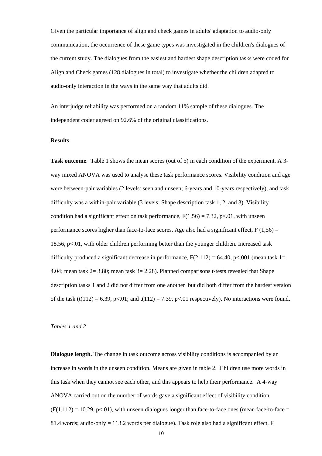Given the particular importance of align and check games in adults' adaptation to audio-only communication, the occurrence of these game types was investigated in the children's dialogues of the current study. The dialogues from the easiest and hardest shape description tasks were coded for Align and Check games (128 dialogues in total) to investigate whether the children adapted to audio-only interaction in the ways in the same way that adults did.

An interjudge reliability was performed on a random 11% sample of these dialogues. The independent coder agreed on 92.6% of the original classifications.

#### **Results**

**Task outcome**. Table 1 shows the mean scores (out of 5) in each condition of the experiment. A 3 way mixed ANOVA was used to analyse these task performance scores. Visibility condition and age were between-pair variables (2 levels: seen and unseen; 6-years and 10-years respectively), and task difficulty was a within-pair variable (3 levels: Shape description task 1, 2, and 3). Visibility condition had a significant effect on task performance,  $F(1,56) = 7.32$ , p<.01, with unseen performance scores higher than face-to-face scores. Age also had a significant effect,  $F(1,56) =$ 18.56, p<.01, with older children performing better than the younger children. Increased task difficulty produced a significant decrease in performance,  $F(2,112) = 64.40$ , p<.001 (mean task 1= 4.04; mean task 2= 3.80; mean task 3= 2.28). Planned comparisons t-tests revealed that Shape description tasks 1 and 2 did not differ from one another but did both differ from the hardest version of the task  $(t(112) = 6.39, p<0.01$ ; and  $t(112) = 7.39, p<0.01$  respectively). No interactions were found.

#### *Tables 1 and 2*

**Dialogue length.** The change in task outcome across visibility conditions is accompanied by an increase in words in the unseen condition. Means are given in table 2. Children use more words in this task when they cannot see each other, and this appears to help their performance. A 4-way ANOVA carried out on the number of words gave a significant effect of visibility condition  $(F(1,112) = 10.29, p<01)$ , with unseen dialogues longer than face-to-face ones (mean face-to-face = 81.4 words; audio-only = 113.2 words per dialogue). Task role also had a significant effect,  $F$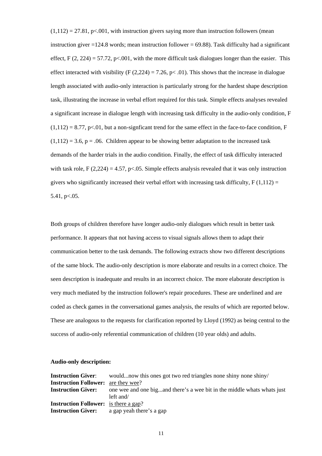$(1,112) = 27.81$ , p<.001, with instruction givers saying more than instruction followers (mean instruction giver  $=124.8$  words; mean instruction follower  $= 69.88$ ). Task difficulty had a significant effect, F  $(2, 224) = 57.72$ , p<.001, with the more difficult task dialogues longer than the easier. This effect interacted with visibility (F  $(2,224) = 7.26$ , p< .01). This shows that the increase in dialogue length associated with audio-only interaction is particularly strong for the hardest shape description task, illustrating the increase in verbal effort required for this task. Simple effects analyses revealed a significant increase in dialogue length with increasing task difficulty in the audio-only condition, F  $(1,112) = 8.77$ , p<.01, but a non-signficant trend for the same effect in the face-to-face condition, F  $(1,112) = 3.6$ , p = .06. Children appear to be showing better adaptation to the increased task demands of the harder trials in the audio condition. Finally, the effect of task difficulty interacted with task role, F  $(2,224) = 4.57$ , p<05. Simple effects analysis revealed that it was only instruction givers who significantly increased their verbal effort with increasing task difficulty,  $F(1,112) =$ 5.41,  $p<.05$ .

Both groups of children therefore have longer audio-only dialogues which result in better task performance. It appears that not having access to visual signals allows them to adapt their communication better to the task demands. The following extracts show two different descriptions of the same block. The audio-only description is more elaborate and results in a correct choice. The seen description is inadequate and results in an incorrect choice. The more elaborate description is very much mediated by the instruction follower's repair procedures. These are underlined and are coded as check games in the conversational games analysis, the results of which are reported below. These are analogous to the requests for clarification reported by Lloyd (1992) as being central to the success of audio-only referential communication of children (10 year olds) and adults.

#### **Audio-only description:**

| <b>Instruction Giver:</b>                    | wouldnow this ones got two red triangles none shiny none shiny/         |
|----------------------------------------------|-------------------------------------------------------------------------|
| <b>Instruction Follower:</b> are they wee?   |                                                                         |
| <b>Instruction Giver:</b>                    | one wee and one bigand there's a wee bit in the middle whats whats just |
|                                              | $left$ and/                                                             |
| <b>Instruction Follower:</b> is there a gap? |                                                                         |
|                                              | <b>Instruction Giver:</b> a gap yeah there's a gap                      |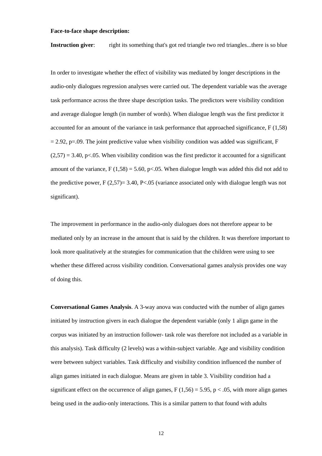#### **Face-to-face shape description:**

**Instruction giver:** right its something that's got red triangle two red triangles...there is so blue

In order to investigate whether the effect of visibility was mediated by longer descriptions in the audio-only dialogues regression analyses were carried out. The dependent variable was the average task performance across the three shape description tasks. The predictors were visibility condition and average dialogue length (in number of words). When dialogue length was the first predictor it accounted for an amount of the variance in task performance that approached significance, F (1,58)  $= 2.92$ , p=.09. The joint predictive value when visibility condition was added was significant, F  $(2,57) = 3.40$ , p<.05. When visibility condition was the first predictor it accounted for a significant amount of the variance,  $F(1,58) = 5.60$ , p<.05. When dialogue length was added this did not add to the predictive power,  $F(2,57)=3.40$ ,  $P<.05$  (variance associated only with dialogue length was not significant).

The improvement in performance in the audio-only dialogues does not therefore appear to be mediated only by an increase in the amount that is said by the children. It was therefore important to look more qualitatively at the strategies for communication that the children were using to see whether these differed across visibility condition. Conversational games analysis provides one way of doing this.

**Conversational Games Analysis**. A 3-way anova was conducted with the number of align games initiated by instruction givers in each dialogue the dependent variable (only 1 align game in the corpus was initiated by an instruction follower- task role was therefore not included as a variable in this analysis). Task difficulty (2 levels) was a within-subject variable. Age and visibility condition were between subject variables. Task difficulty and visibility condition influenced the number of align games initiated in each dialogue. Means are given in table 3. Visibility condition had a significant effect on the occurrence of align games,  $F(1,56) = 5.95$ ,  $p < .05$ , with more align games being used in the audio-only interactions. This is a similar pattern to that found with adults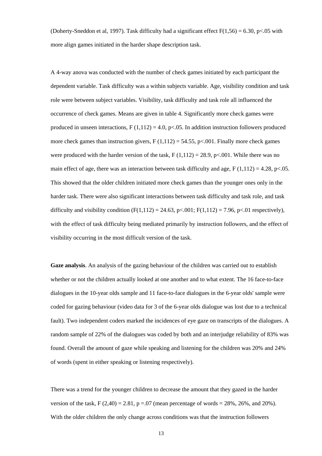(Doherty-Sneddon et al, 1997). Task difficulty had a significant effect  $F(1,56) = 6.30$ , p<.05 with more align games initiated in the harder shape description task.

A 4-way anova was conducted with the number of check games initiated by each participant the dependent variable. Task difficulty was a within subjects variable. Age, visibility condition and task role were between subject variables. Visibility, task difficulty and task role all influenced the occurrence of check games. Means are given in table 4. Significantly more check games were produced in unseen interactions,  $F(1,112) = 4.0$ ,  $p<0.05$ . In addition instruction followers produced more check games than instruction givers,  $F(1,112) = 54.55$ ,  $p\lt 0.001$ . Finally more check games were produced with the harder version of the task,  $F(1,112) = 28.9$ , p<.001. While there was no main effect of age, there was an interaction between task difficulty and age, F (1,112) = 4.28, p<.05. This showed that the older children initiated more check games than the younger ones only in the harder task. There were also significant interactions between task difficulty and task role, and task difficulty and visibility condition  $(F(1,112) = 24.63, p < .001; F(1,112) = 7.96, p < .01$  respectively), with the effect of task difficulty being mediated primarily by instruction followers, and the effect of visibility occurring in the most difficult version of the task.

**Gaze analysis**. An analysis of the gazing behaviour of the children was carried out to establish whether or not the children actually looked at one another and to what extent. The 16 face-to-face dialogues in the 10-year olds sample and 11 face-to-face dialogues in the 6-year olds' sample were coded for gazing behaviour (video data for 3 of the 6-year olds dialogue was lost due to a technical fault). Two independent coders marked the incidences of eye gaze on transcripts of the dialogues. A random sample of 22% of the dialogues was coded by both and an interjudge reliability of 83% was found. Overall the amount of gaze while speaking and listening for the children was 20% and 24% of words (spent in either speaking or listening respectively).

There was a trend for the younger children to decrease the amount that they gazed in the harder version of the task, F  $(2,40) = 2.81$ , p =.07 (mean percentage of words = 28%, 26%, and 20%). With the older children the only change across conditions was that the instruction followers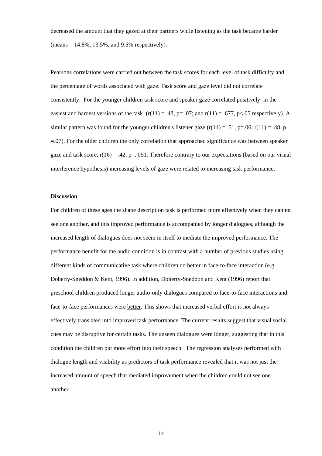decreased the amount that they gazed at their partners while listening as the task became harder  $(means = 14.8\%, 13.5\%, and 9.5\% respectively).$ 

Pearsons correlations were carried out between the task scores for each level of task difficulty and the percentage of words associated with gaze. Task score and gaze level did not correlate consistently. For the younger children task score and speaker gaze correlated positively in the easiest and hardest versions of the task  $(r(11) = .48, p = .07;$  and  $r(11) = .677, p < .05$  respectively). A similar pattern was found for the younger children's listener gaze  $(r(11) = .51, p=.06; r(11) = .48, p$  $=0.07$ ). For the older children the only correlation that approached significance was between speaker gaze and task score,  $r(16) = .42$ , p=. 051. Therefore contrary to our expectations (based on our visual interference hypothesis) increasing levels of gaze were related to increasing task performance.

#### **Discussion**

For children of these ages the shape description task is performed more effectively when they cannot see one another, and this improved performance is accompanied by longer dialogues, although the increased length of dialogues does not seem in itself to mediate the improved performance. The performance benefit for the audio condition is in contrast with a number of previous studies using different kinds of communicative task where children do better in face-to-face interaction (e.g. Doherty-Sneddon & Kent, 1996). In addition, Doherty-Sneddon and Kent (1996) report that preschool children produced longer audio-only dialogues compared to face-to-face interactions and face-to-face performances were better. This shows that increased verbal effort is not always effectively translated into improved task performance. The current results suggest that visual social cues may be disruptive for certain tasks. The unseen dialogues were longer, suggesting that in this condition the children put more effort into their speech. The regression analyses performed with dialogue length and visibility as predictors of task performance revealed that it was not just the increased amount of speech that mediated improvement when the children could not see one another.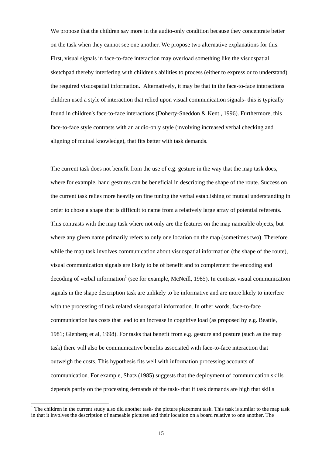We propose that the children say more in the audio-only condition because they concentrate better on the task when they cannot see one another. We propose two alternative explanations for this. First, visual signals in face-to-face interaction may overload something like the visuospatial sketchpad thereby interfering with children's abilities to process (either to express or to understand) the required visuospatial information. Alternatively, it may be that in the face-to-face interactions children used a style of interaction that relied upon visual communication signals- this is typically found in children's face-to-face interactions (Doherty-Sneddon & Kent , 1996). Furthermore, this face-to-face style contrasts with an audio-only style (involving increased verbal checking and aligning of mutual knowledge), that fits better with task demands.

The current task does not benefit from the use of e.g. gesture in the way that the map task does, where for example, hand gestures can be beneficial in describing the shape of the route. Success on the current task relies more heavily on fine tuning the verbal establishing of mutual understanding in order to chose a shape that is difficult to name from a relatively large array of potential referents. This contrasts with the map task where not only are the features on the map nameable objects, but where any given name primarily refers to only one location on the map (sometimes two). Therefore while the map task involves communication about visuospatial information (the shape of the route), visual communication signals are likely to be of benefit and to complement the encoding and decoding of verbal information<sup>1</sup> (see for example, McNeill, 1985). In contrast visual communication signals in the shape description task are unlikely to be informative and are more likely to interfere with the processing of task related visuospatial information. In other words, face-to-face communication has costs that lead to an increase in cognitive load (as proposed by e.g. Beattie, 1981; Glenberg et al, 1998). For tasks that benefit from e.g. gesture and posture (such as the map task) there will also be communicative benefits associated with face-to-face interaction that outweigh the costs. This hypothesis fits well with information processing accounts of communication. For example, Shatz (1985) suggests that the deployment of communication skills depends partly on the processing demands of the task- that if task demands are high that skills

l

<sup>&</sup>lt;sup>1</sup> The children in the current study also did another task- the picture placement task. This task is similar to the map task in that it involves the description of nameable pictures and their location on a board relative to one another. The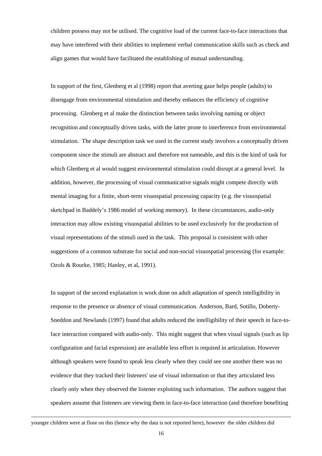children possess may not be utilised. The cognitive load of the current face-to-face interactions that may have interfered with their abilities to implement verbal communication skills such as check and align games that would have facilitated the establishing of mutual understanding.

In support of the first, Glenberg et al (1998) report that averting gaze helps people (adults) to disengage from environmental stimulation and thereby enhances the efficiency of cognitive processing. Glenberg et al make the distinction between tasks involving naming or object recognition and conceptually driven tasks, with the latter prone to interference from environmental stimulation. The shape description task we used in the current study involves a conceptually driven component since the stimuli are abstract and therefore not nameable, and this is the kind of task for which Glenberg et al would suggest environmental stimulation could disrupt at a general level. In addition, however, the processing of visual communicative signals might compete directly with mental imaging for a finite, short-term visuospatial processing capacity (e.g. the visuospatial sketchpad in Baddely's 1986 model of working memory). In these circumstances, audio-only interaction may allow existing visuospatial abilities to be used exclusively for the production of visual representations of the stimuli used in the task. This proposal is consistent with other suggestions of a common substrate for social and non-social visuospatial processing (for example: Ozols & Rourke, 1985; Hanley, et al, 1991).

In support of the second explanation is work done on adult adaptation of speech intelligibility in response to the presence or absence of visual communication. Anderson, Bard, Sotillo, Doherty-Sneddon and Newlands (1997) found that adults reduced the intelligibility of their speech in face-toface interaction compared with audio-only. This might suggest that when visual signals (such as lip configuration and facial expression) are available less effort is required in articulation. However although speakers were found to speak less clearly when they could see one another there was no evidence that they tracked their listeners' use of visual information or that they articulated less clearly only when they observed the listener exploiting such information. The authors suggest that speakers assume that listeners are viewing them in face-to-face interaction (and therefore benefiting

1

younger children were at floor on this (hence why the data is not reported here), however the older children did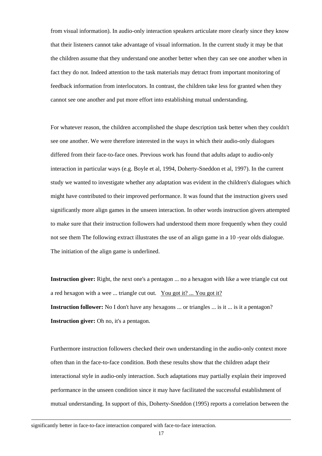from visual information). In audio-only interaction speakers articulate more clearly since they know that their listeners cannot take advantage of visual information. In the current study it may be that the children assume that they understand one another better when they can see one another when in fact they do not. Indeed attention to the task materials may detract from important monitoring of feedback information from interlocutors. In contrast, the children take less for granted when they cannot see one another and put more effort into establishing mutual understanding.

For whatever reason, the children accomplished the shape description task better when they couldn't see one another. We were therefore interested in the ways in which their audio-only dialogues differed from their face-to-face ones. Previous work has found that adults adapt to audio-only interaction in particular ways (e.g. Boyle et al, 1994, Doherty-Sneddon et al, 1997). In the current study we wanted to investigate whether any adaptation was evident in the children's dialogues which might have contributed to their improved performance. It was found that the instruction givers used significantly more align games in the unseen interaction. In other words instruction givers attempted to make sure that their instruction followers had understood them more frequently when they could not see them The following extract illustrates the use of an align game in a 10 -year olds dialogue. The initiation of the align game is underlined.

**Instruction giver:** Right, the next one's a pentagon ... no a hexagon with like a wee triangle cut out a red hexagon with a wee ... triangle cut out. You got it? ... You got it? **Instruction follower:** No I don't have any hexagons ... or triangles ... is it ... is it a pentagon? **Instruction giver:** Oh no, it's a pentagon.

Furthermore instruction followers checked their own understanding in the audio-only context more often than in the face-to-face condition. Both these results show that the children adapt their interactional style in audio-only interaction. Such adaptations may partially explain their improved performance in the unseen condition since it may have facilitated the successful establishment of mutual understanding. In support of this, Doherty-Sneddon (1995) reports a correlation between the

-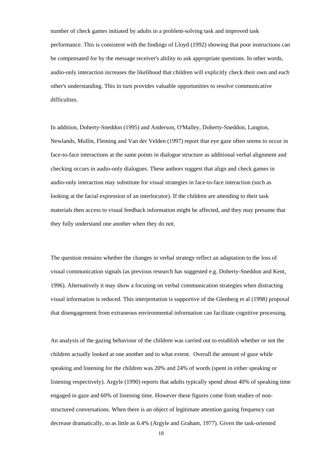number of check games initiated by adults in a problem-solving task and improved task performance. This is consistent with the findings of Lloyd (1992) showing that poor instructions can be compensated for by the message receiver's ability to ask appropriate questions. In other words, audio-only interaction increases the likelihood that children will explicitly check their own and each other's understanding. This in turn provides valuable opportunities to resolve communicative difficulties.

In addition, Doherty-Sneddon (1995) and Anderson, O'Malley, Doherty-Sneddon, Langton, Newlands, Mullin, Fleming and Van der Velden (1997) report that eye gaze often seems to occur in face-to-face interactions at the same points in dialogue structure as additional verbal alignment and checking occurs in audio-only dialogues. These authors suggest that align and check games in audio-only interaction may substitute for visual strategies in face-to-face interaction (such as looking at the facial expression of an interlocutor). If the children are attending to their task materials then access to visual feedback information might be affected, and they may presume that they fully understand one another when they do not.

The question remains whether the changes in verbal strategy reflect an adaptation to the loss of visual communication signals (as previous research has suggested e.g. Doherty-Sneddon and Kent, 1996). Alternatively it may show a focusing on verbal communication strategies when distracting visual information is reduced. This interpretation is supportive of the Glenberg et al (1998) proposal that disengagement from extraneous environmental information can facilitate cognitive processing.

An analysis of the gazing behaviour of the children was carried out to establish whether or not the children actually looked at one another and to what extent. Overall the amount of gaze while speaking and listening for the children was 20% and 24% of words (spent in either speaking or listening respectively). Argyle (1990) reports that adults typically spend about 40% of speaking time engaged in gaze and 60% of listening time. However these figures come from studies of nonstructured conversations. When there is an object of legitimate attention gazing frequency can decrease dramatically, to as little as 6.4% (Argyle and Graham, 1977). Given the task-oriented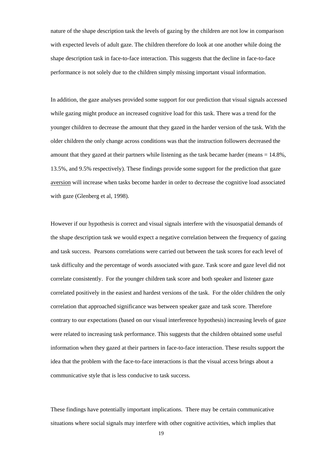nature of the shape description task the levels of gazing by the children are not low in comparison with expected levels of adult gaze. The children therefore do look at one another while doing the shape description task in face-to-face interaction. This suggests that the decline in face-to-face performance is not solely due to the children simply missing important visual information.

In addition, the gaze analyses provided some support for our prediction that visual signals accessed while gazing might produce an increased cognitive load for this task. There was a trend for the younger children to decrease the amount that they gazed in the harder version of the task. With the older children the only change across conditions was that the instruction followers decreased the amount that they gazed at their partners while listening as the task became harder (means  $= 14.8\%$ . 13.5%, and 9.5% respectively). These findings provide some support for the prediction that gaze aversion will increase when tasks become harder in order to decrease the cognitive load associated with gaze (Glenberg et al, 1998).

However if our hypothesis is correct and visual signals interfere with the visuospatial demands of the shape description task we would expect a negative correlation between the frequency of gazing and task success. Pearsons correlations were carried out between the task scores for each level of task difficulty and the percentage of words associated with gaze. Task score and gaze level did not correlate consistently. For the younger children task score and both speaker and listener gaze correlated positively in the easiest and hardest versions of the task. For the older children the only correlation that approached significance was between speaker gaze and task score. Therefore contrary to our expectations (based on our visual interference hypothesis) increasing levels of gaze were related to increasing task performance. This suggests that the children obtained some useful information when they gazed at their partners in face-to-face interaction. These results support the idea that the problem with the face-to-face interactions is that the visual access brings about a communicative style that is less conducive to task success.

These findings have potentially important implications. There may be certain communicative situations where social signals may interfere with other cognitive activities, which implies that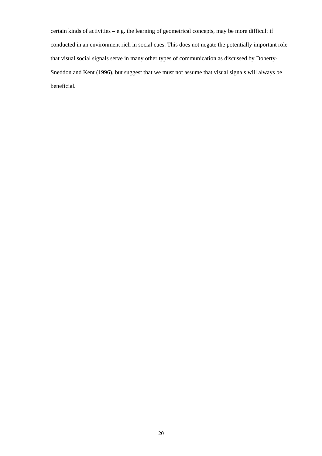certain kinds of activities – e.g. the learning of geometrical concepts, may be more difficult if conducted in an environment rich in social cues. This does not negate the potentially important role that visual social signals serve in many other types of communication as discussed by Doherty-Sneddon and Kent (1996), but suggest that we must not assume that visual signals will always be beneficial.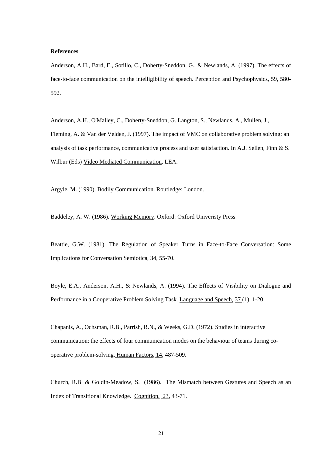#### **References**

Anderson, A.H., Bard, E., Sotillo, C., Doherty-Sneddon, G., & Newlands, A. (1997). The effects of face-to-face communication on the intelligibility of speech. Perception and Psychophysics, 59, 580- 592.

Anderson, A.H., O'Malley, C., Doherty-Sneddon, G. Langton, S., Newlands, A., Mullen, J., Fleming, A. & Van der Velden, J. (1997). The impact of VMC on collaborative problem solving: an analysis of task performance, communicative process and user satisfaction. In A.J. Sellen, Finn & S. Wilbur (Eds) Video Mediated Communication. LEA.

Argyle, M. (1990). Bodily Communication. Routledge: London.

Baddeley, A. W. (1986). Working Memory. Oxford: Oxford Univeristy Press.

Beattie, G.W. (1981). The Regulation of Speaker Turns in Face-to-Face Conversation: Some Implications for Conversation Semiotica, 34, 55-70.

Boyle, E.A., Anderson, A.H., & Newlands, A. (1994). The Effects of Visibility on Dialogue and Performance in a Cooperative Problem Solving Task. Language and Speech, 37 (1), 1-20.

Chapanis, A., Ochsman, R.B., Parrish, R.N., & Weeks, G.D. (1972). Studies in interactive communication: the effects of four communication modes on the behaviour of teams during cooperative problem-solving. Human Factors, 14, 487-509.

Church, R.B. & Goldin-Meadow, S. (1986). The Mismatch between Gestures and Speech as an Index of Transitional Knowledge. Cognition, 23, 43-71.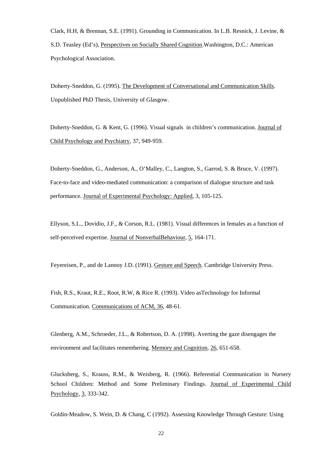Clark, H.H, & Brennan, S.E. (1991). Grounding in Communication. In L.B. Resnick, J. Levine, & S.D. Teasley (Ed's), Perspectives on Socially Shared Cognition.Washington, D.C.: American Psychological Association.

Doherty-Sneddon, G. (1995). The Development of Conversational and Communication Skills. Unpublished PhD Thesis, University of Glasgow.

Doherty-Sneddon, G. & Kent, G. (1996). Visual signals in children's communication. Journal of Child Psychology and Psychiatry, 37, 949-959.

Doherty-Sneddon, G., Anderson, A., O'Malley, C., Langton, S., Garrod, S. & Bruce, V. (1997). Face-to-face and video-mediated communication: a comparison of dialogue structure and task performance. Journal of Experimental Psychology: Applied, 3, 105-125.

Ellyson, S.L., Dovidio, J.F., & Corson, R.L. (1981). Visual differences in females as a function of self-perceived expertise. Journal of NonverbalBehaviour, 5, 164-171.

Feyereisen, P., and de Lannoy J.D. (1991). Gesture and Speech*.* Cambridge University Press.

Fish, R.S., Kraut, R.E., Root, R.W, & Rice R. (1993). Video asTechnology for Informal Communication. Communications of ACM, 36, 48-61.

Glenberg, A.M., Schroeder, J.L., & Robertson, D. A. (1998). Averting the gaze disengages the environment and facilitates remembering. Memory and Cognition, 26, 651-658.

Glucksberg, S., Krauss, R.M., & Weisberg, R. (1966). Referential Communication in Nursery School Children: Method and Some Preliminary Findings. Journal of Experimental Child Psychology, 3, 333-342.

Goldin-Meadow, S. Wein, D. & Chang, C (1992). Assessing Knowledge Through Gesture: Using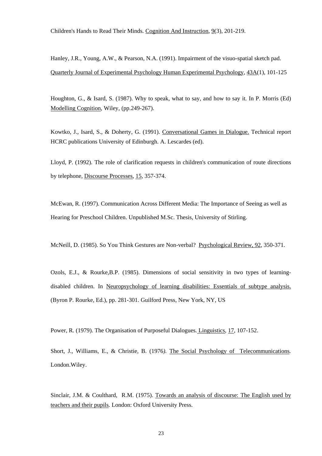Children's Hands to Read Their Minds*.* Cognition And Instruction, 9(3), 201-219.

Hanley, J.R., Young, A.W., & Pearson, N.A. (1991). Impairment of the visuo-spatial sketch pad. Quarterly Journal of Experimental Psychology Human Experimental Psychology, 43A(1), 101-125

Houghton, G., & Isard, S. (1987). Why to speak, what to say, and how to say it*.* In P. Morris (Ed) Modelling Cognition, Wiley, (pp.249-267).

Kowtko, J., Isard, S., & Doherty, G. (1991). Conversational Games in Dialogue. Technical report HCRC publications University of Edinburgh. A. Lescardes (ed).

Lloyd, P. (1992). The role of clarification requests in children's communication of route directions by telephone, Discourse Processes, 15, 357-374.

McEwan, R. (1997). Communication Across Different Media: The Importance of Seeing as well as Hearing for Preschool Children. Unpublished M.Sc. Thesis, University of Stirling.

McNeill, D. (1985). So You Think Gestures are Non-verbal? Psychological Review, 92, 350-371.

Ozols, E.J., & Rourke,B.P. (1985). Dimensions of social sensitivity in two types of learningdisabled children. In Neuropsychology of learning disabilities: Essentials of subtype analysis. (Byron P. Rourke, Ed.), pp. 281-301. Guilford Press, New York, NY, US

Power, R. (1979). The Organisation of Purposeful Dialogues*.* Linguistics, 17, 107-152.

Short, J., Williams, E., & Christie, B. (1976*).* The Social Psychology of Telecommunications*.*  London.Wiley.

Sinclair, J.M. & Coulthard, R.M. (1975). Towards an analysis of discourse: The English used by teachers and their pupils*.* London: Oxford University Press.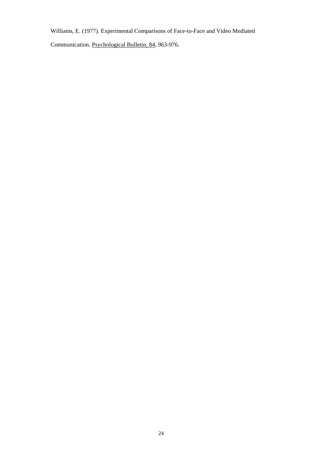Williams, E. (1977). Experimental Comparisons of Face-to-Face and Video Mediated

Communication. Psychological Bulletin, 84, 963-976.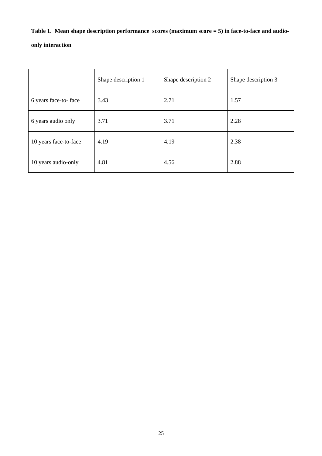# **Table 1. Mean shape description performance scores (maximum score = 5) in face-to-face and audio-**

## **only interaction**

|                       | Shape description 1 | Shape description 2 | Shape description 3 |
|-----------------------|---------------------|---------------------|---------------------|
| 6 years face-to-face  | 3.43                | 2.71                | 1.57                |
| 6 years audio only    | 3.71                | 3.71                | 2.28                |
| 10 years face-to-face | 4.19                | 4.19                | 2.38                |
| 10 years audio-only   | 4.81                | 4.56                | 2.88                |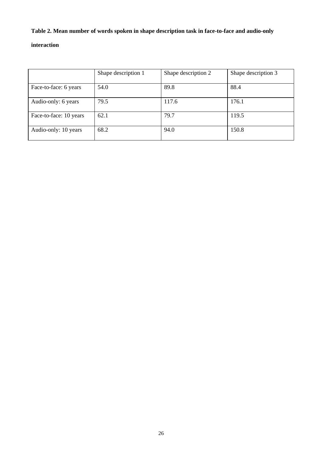## **Table 2. Mean number of words spoken in shape description task in face-to-face and audio-only**

### **interaction**

|                        | Shape description 1 | Shape description 2 | Shape description 3 |
|------------------------|---------------------|---------------------|---------------------|
| Face-to-face: 6 years  | 54.0                | 89.8                | 88.4                |
| Audio-only: 6 years    | 79.5                | 117.6               | 176.1               |
| Face-to-face: 10 years | 62.1                | 79.7                | 119.5               |
| Audio-only: 10 years   | 68.2                | 94.0                | 150.8               |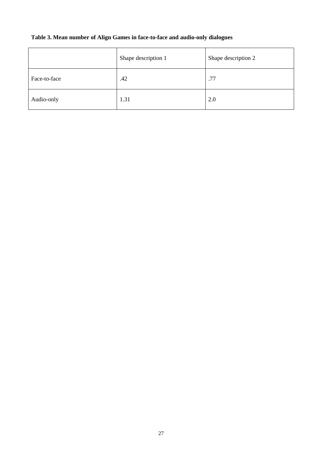## **Table 3. Mean number of Align Games in face-to-face and audio-only dialogues**

|              | Shape description 1 | Shape description 2 |
|--------------|---------------------|---------------------|
| Face-to-face | .42                 | .77                 |
| Audio-only   | 1.31                | 2.0                 |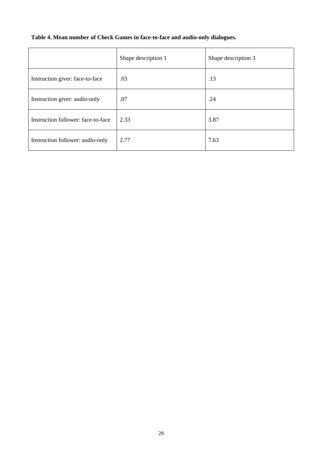|                                    | Shape description 1 | Shape description 3 |
|------------------------------------|---------------------|---------------------|
| Instruction giver: face-to-face    | .03                 | .13                 |
| Instruction giver: audio-only      | .07                 | .24                 |
| Instruction follower: face-to-face | 2.33                | 3.87                |
| Instruction follower: audio-only   | 2.77                | 7.63                |

## **Table 4. Mean number of Check Games in face-to-face and audio-only dialogues.**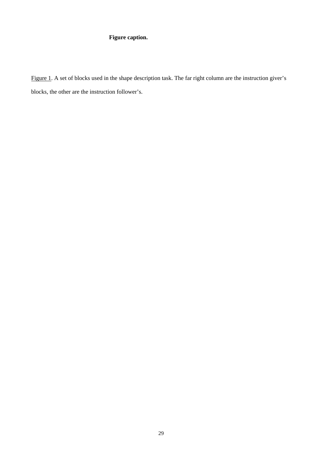## **Figure caption.**

Figure 1. A set of blocks used in the shape description task. The far right column are the instruction giver's blocks, the other are the instruction follower's.